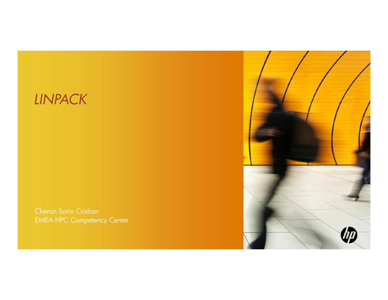## *LINPACK*

Cheran Sorin CristianEMEA HPC Competency Center

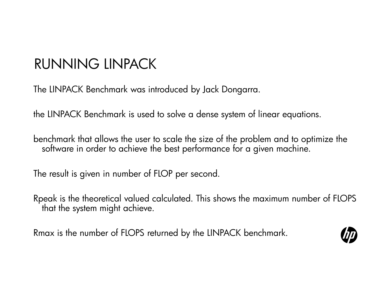## RUNNING LINPACK

The LINPACK Benchmark was introduced by Jack Dongarra.

the LINPACK Benchmark is used to solve a dense system of linear equations.

benchmark that allows the user to scale the size of the problem and to optimize the software in order to achieve the best performance for a given machine.

The result is given in number of FLOP per second.

Rpeak is the theoretical valued calculated. This shows the maximum number of FLOPS that the system might achieve.

Rmax is the number of FLOPS returned by the LINPACK benchmark.

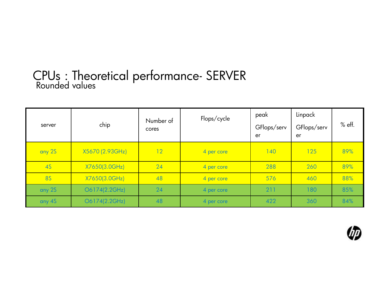# CPUs : Theoretical performance- SERVER Rounded values

| server    | chip            | Number of<br>cores | Flops/cycle | peak<br>GFlops/serv<br>er | Linpack<br>GFlops/serv<br>er | % eff. |
|-----------|-----------------|--------------------|-------------|---------------------------|------------------------------|--------|
| any 2S    | X5670 (2.93GHz) | 12                 | 4 per core  | 140                       | 125                          | 89%    |
| <b>4S</b> | X7650(3.0GHz)   | 24                 | 4 per core  | 288                       | 260                          | 89%    |
| <b>8S</b> | X7650(3.0GHz)   | 48                 | 4 per core  | 576                       | 460                          | 88%    |
| any 2S    | O6174(2.2GHz)   | 24                 | 4 per core  | 211                       | 180                          | 85%    |
| any 4S    | O6174(2.2GHz)   | 48                 | 4 per core  | 422                       | 360                          | 84%    |

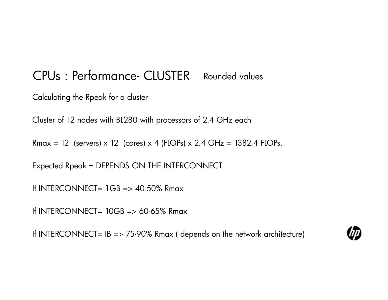#### CPUs : Performance- CLUSTER Rounded values

Calculating the Rpeak for a cluster

Cluster of 12 nodes with BL280 with processors of 2.4 GHz each

Rmax = 12 (servers) x 12 (cores) x 4 (FLOPs) x 2.4 GHz = 1382.4 FLOPs.

Expected Rpeak = DEPENDS ON THE INTERCONNECT.

If INTERCONNECT=  $1GB \Rightarrow 40.50\%$  Rmax

If INTERCONNECT=  $10GB \Rightarrow 60.65\%$  Rmax

If INTERCONNECT=  $IB \Rightarrow 75.90\%$  Rmax (depends on the network architecture)

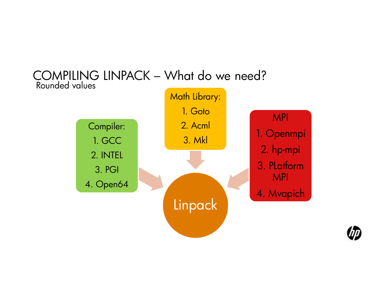



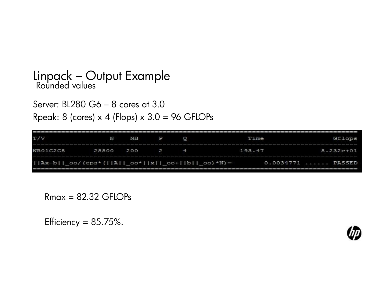# Linpack – Output Example Rounded values

Server: BL280 G6 – 8 cores at 3.0Rpeak: 8 (cores) x 4 (Flops) x 3.0 = 96 GFLOPs

| T/V                                                                     | N     | <b>NB</b> | P | Time   | Gflops             |
|-------------------------------------------------------------------------|-------|-----------|---|--------|--------------------|
| WR01C2C8                                                                | 28800 | 200       |   | 193.47 | $8.232e+01$        |
| $   AX - b     co / (eps * (  A  )  co *   x  )  co +  b    co ) * N =$ |       |           |   |        | $0.0034771$ PASSED |

 $Rmax = 82.32$  GFLOPs

Efficiency =  $85.75\%$ .

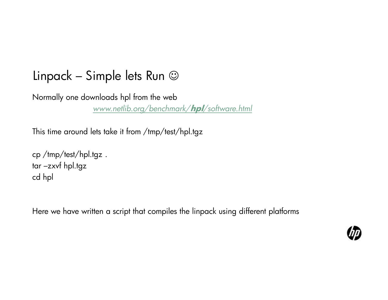#### Linpack – Simple lets Run  $\odot$

Normally one downloads hpl from the web *www.netlib.org/benchmark/***hpl***/software.html*

This time around lets take it from /tmp/test/hpl.tgz

cp /tmp/test/hpl.tgz .tar –zxvf hpl.tgz cd hpl

Here we have written a script that compiles the linpack using different platforms

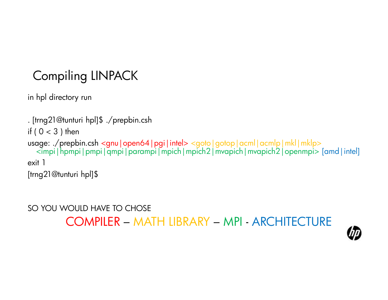## Compiling LINPACK

in hpl directory run

. [trng21@tunturi hpl]\$ ./prepbin.cshif (  $0 < 3$  ) then usage: ./prepbin.csh <gnu | open64 | pgi | intel> <goto | gotop | acml | acmlp | mkl | mklp>  $\le$ impi|hpmpi|pmpi|qmpi|parampi|mpich|mpich2|mvapich|mvapich2|openmpi> [amd|intel] exit 1[trng21@tunturi hpl]\$

SO YOU WOULD HAVE TO CHOSE

COMPILER – MATH LIBRARY – MPI - ARCHITECTURE

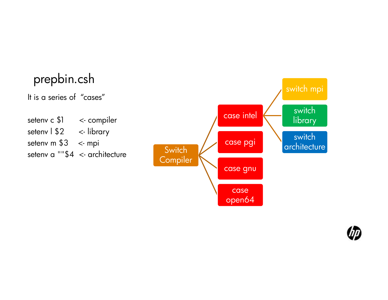#### prepbin.cshIt is a series of "cases"setenv c \$1 <- compiler setenv | \$2 <- library setenv m  $$3 <$ - mpi setenv a ""\$4 <- architecturee Switch<br>Compile case intelswitch mpi switch libraryswitch architecturecase pgi architectur Compiler case gnucase open64

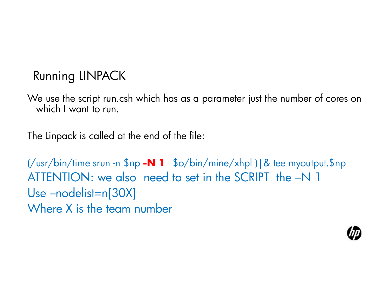#### Running LINPACK

We use the script run.csh which has as a parameter just the number of cores on which I want to run.

The Linpack is called at the end of the file:

(/usr/bin/time srun -n \$np **-N 1** \$o/bin/mine/xhpl )|& tee myoutput.\$np ATTENTION: we also need to set in the SCRIPT the –N 1 Use –nodelist=n[30X]Where X is the team number

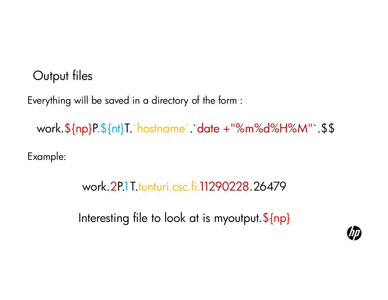#### Output files

Everything will be saved in a directory of the form :

work.\${np}P.\${nt}T.`hostname`.`date <sup>+</sup>"%m%d%H%M"`.\$\$

Example:

### work.2P.1T.tunturi.csc.fi.11290228.26479

Interesting file to look at is myoutput.\${np}